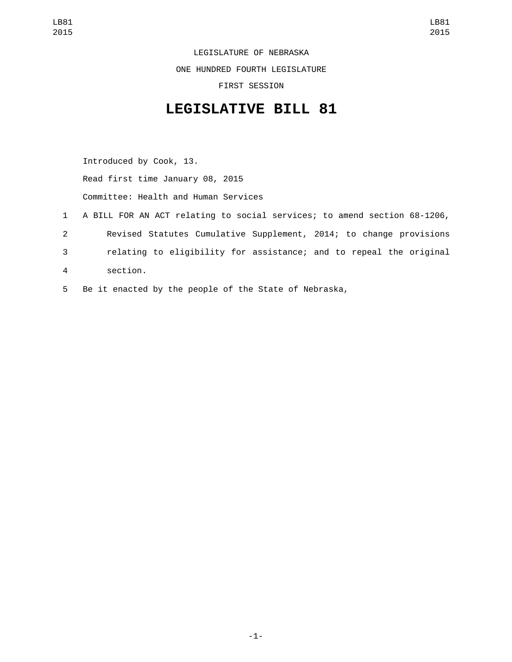LEGISLATURE OF NEBRASKA ONE HUNDRED FOURTH LEGISLATURE FIRST SESSION

## **LEGISLATIVE BILL 81**

Introduced by Cook, 13. Read first time January 08, 2015 Committee: Health and Human Services

- 1 A BILL FOR AN ACT relating to social services; to amend section 68-1206, 2 Revised Statutes Cumulative Supplement, 2014; to change provisions 3 relating to eligibility for assistance; and to repeal the original section.4
- 5 Be it enacted by the people of the State of Nebraska,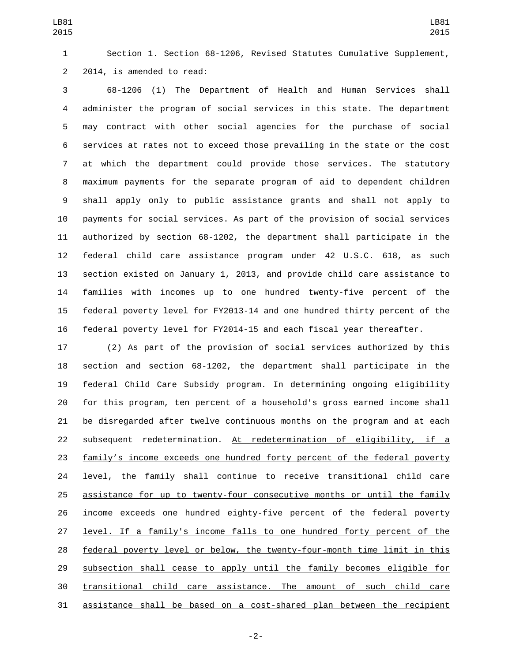Section 1. Section 68-1206, Revised Statutes Cumulative Supplement, 2 2014, is amended to read:

 68-1206 (1) The Department of Health and Human Services shall administer the program of social services in this state. The department may contract with other social agencies for the purchase of social services at rates not to exceed those prevailing in the state or the cost at which the department could provide those services. The statutory maximum payments for the separate program of aid to dependent children shall apply only to public assistance grants and shall not apply to payments for social services. As part of the provision of social services authorized by section 68-1202, the department shall participate in the federal child care assistance program under 42 U.S.C. 618, as such section existed on January 1, 2013, and provide child care assistance to families with incomes up to one hundred twenty-five percent of the federal poverty level for FY2013-14 and one hundred thirty percent of the federal poverty level for FY2014-15 and each fiscal year thereafter.

 (2) As part of the provision of social services authorized by this section and section 68-1202, the department shall participate in the federal Child Care Subsidy program. In determining ongoing eligibility for this program, ten percent of a household's gross earned income shall be disregarded after twelve continuous months on the program and at each subsequent redetermination. At redetermination of eligibility, if a family's income exceeds one hundred forty percent of the federal poverty 24 level, the family shall continue to receive transitional child care assistance for up to twenty-four consecutive months or until the family income exceeds one hundred eighty-five percent of the federal poverty level. If a family's income falls to one hundred forty percent of the federal poverty level or below, the twenty-four-month time limit in this 29 subsection shall cease to apply until the family becomes eligible for transitional child care assistance. The amount of such child care assistance shall be based on a cost-shared plan between the recipient